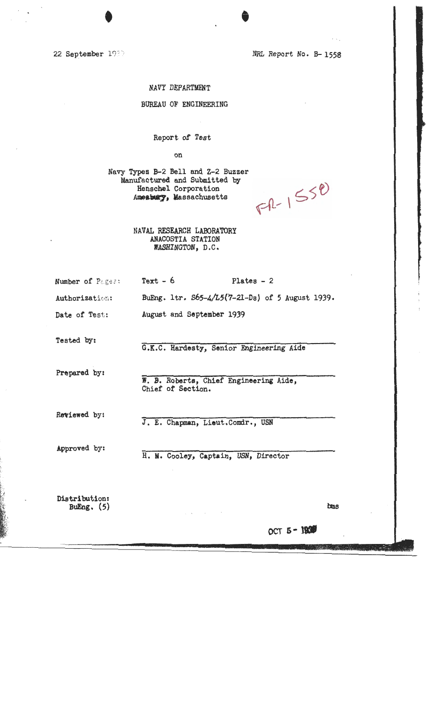22 September 1989

NRL Report No. B-1558

#### NAVY DEPARTMENT

#### BUREAU OF ENGINEERING

Report of Test

on

Navy Types B-2 Bell and Z-2 Buzzer Manufactured and Submitted by Henschel Corporation Amesbury, Massachusetts

 $F1 - 1550$ 

NAVAL RESEARCH LABORATORY ANACOSTIA STATION WASHINGTON, D.C.

| Number of Pages: |  | $Text - 6$ | Plates $-2$ |
|------------------|--|------------|-------------|
|                  |  |            |             |

Authorization: BuEng. 1tr. S65-4/L5(7-21-Ds) of 5 August 1939.

Date of Test: August and September 1939

Tested by:

G.K.C. Hardesty, Senior Engineering Aide

Prepared by:

W. B. Roberts, Chief Engineering Aide, Chief of Section.

Reviewed by:

J. E. Chapman, Lieut.Comdr., USN

Approved by:

H. M. Cooley, Captain, USN, Director

Distribution: BuEng.  $(5)$ 

**bms**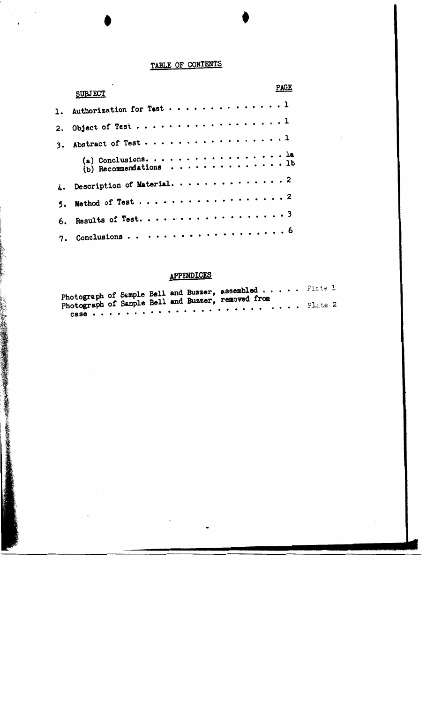# TABLE OF CONTENTS

|    | <b>PAGE</b><br><b>SUBJECT</b>                                                      |
|----|------------------------------------------------------------------------------------|
|    | 1. Authorization for Test 1                                                        |
|    | 2. Object of Test 1                                                                |
| 3. | Abstract of Test1                                                                  |
|    | (a) Conclusions. 1a<br>(b) Recommendations $\cdots \cdots \cdots \cdots \cdots$ lb |
|    |                                                                                    |
|    | 5. Method of Test 2                                                                |
|    | 6. Results of Test. 3                                                              |
|    | . 6<br>7. Conclusions                                                              |

## APPmDICES

|  |  | ------------- |                                                                                                                                                                                                                                                                                           |  |  |  |
|--|--|---------------|-------------------------------------------------------------------------------------------------------------------------------------------------------------------------------------------------------------------------------------------------------------------------------------------|--|--|--|
|  |  |               | Photograph of Sample Bell and Buzzer, assembled Plate 1                                                                                                                                                                                                                                   |  |  |  |
|  |  |               | Photograph of Sample Bell and Buzzer, removed from<br><b>CASA</b> a conservative to the external external property and a property of the conservative conservative conservative conservative conservative conservative conservative conservative conservative conservative conservative c |  |  |  |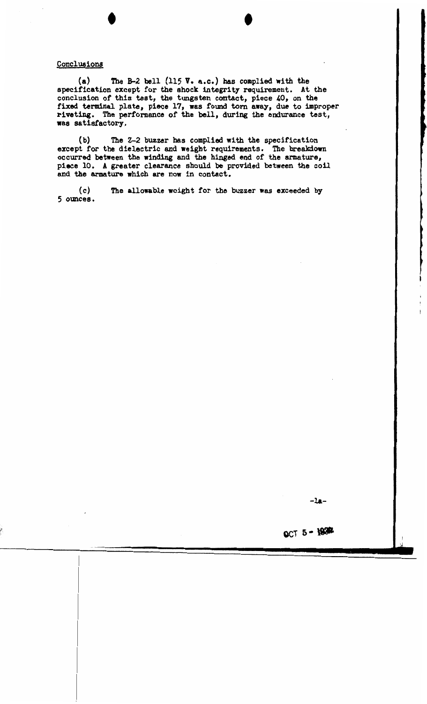#### Conclusions

(a) The B-2 bell (115 V. a.c.) bas complied with the specification except for the shock integrity requirement. At the conclusion of this test, the tungsten contact, piece 40, on the fixed terminal plate, piece 17, was found torn away, due to improper riveting. The performance of the bell, during the endurance test, was satisfactory.

(b) The Z-2 buzzer has complied with the specification except for the dielectric and **weight** requirements. The breakdown occurred between the winding and the hinged end of the armature, **piece** 10. A greater clearance should be provided between the coil and the armature which are now in contact.

(c) *5* oimces. The allowable weight for the buzzer was exceeded by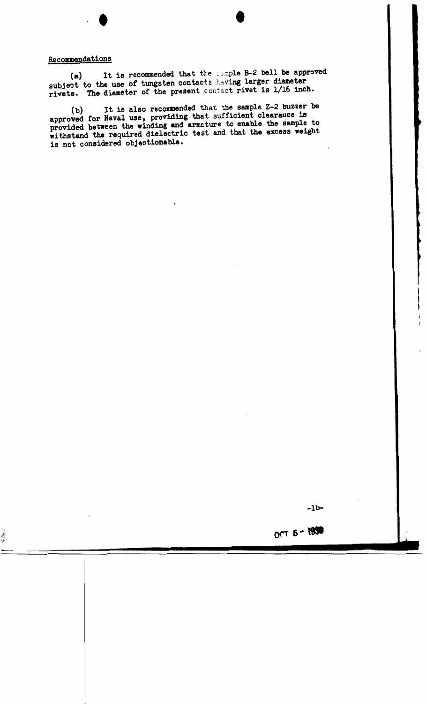### Recommendations

"清华师

**t** 

(a) It is recommended that the sample B-2 bell be approved subject to the use of tungsten contacts having larger diameter rivets. The diameter of the present contact rivet is 1/16 inch.

(b) It is also recommended that the sample Z-2 buzzer be approved for Naval use, providing that sufficient clearance is provided between the winding and armeture to enable the sample to withstand the required dielectric test and that the **excess weight**  is not considered objectionable.

OCT 5 - 1950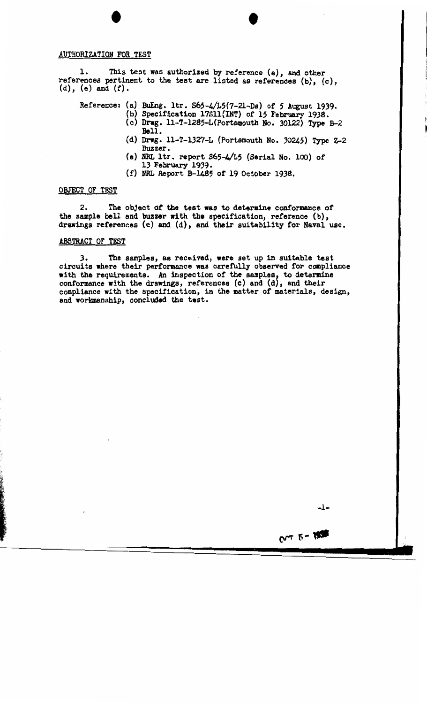#### AUTHORIZATION FOR TEST

1. This test was authorized by reference **(a),** and other references pertinent to the test are listed as references (b), (c), (d), (e) and **(f).** 

Reference: (a) BuEng. ltr.  $S65-\frac{1}{5}(7-21-DS)$  of 5 August 1939.

- (b) Specification 17Sll(INT) of 15 February 1938.
- {c) Dnrg. ll-T-1285-L(Portsmouth No. 30122) Type B-2 **Bell.**
- (d) Drwg. 11-T-1327-L (Portsmouth No. 30245) Type 2-2 Buzzer.
- {e) NRL ltr. report S65-4/15 {Serial No. 100) of 13 February 1939.
- (f) NRL Report B-1485 of 19 October 1938.

#### OBJECT OF TEST

2. The object *ot* the test was to determine conformance of the sample bell and buzzer with the specification, reference (b), drawings references (c) and (d), and their suitability for Naval use.

#### ABSTRACT OF TEST

J. The samples, as received, **were** set up in suitable test circuits **where** their performance was carefully observed for compliance **with the** requirements. An inspection of the samples, to determine conformance with the drawings, references (c) and (d), and their compliance with the specification, in the matter of materials, design, and workmanship, concluded the test.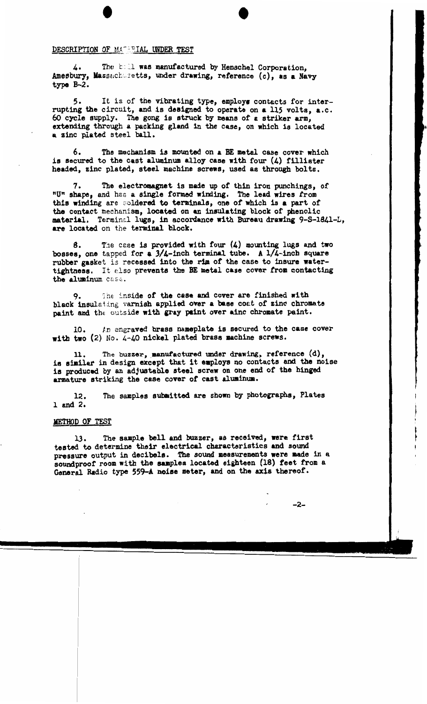#### DESCRIPTION OF MATERIAL UNDER TEST

4. The boll was manufactured by Henschel Corporation. Amesbury, Massachusetts, under drawing, reference (c), as a Navy type B-2.

5. It is of the vibrating type, employs contacts for interrupting the circuit, and is designed to operate on **a** 115 volts, a.c. 60 cycle supply. The gong is struck by means of a striker arm, extending through a packing gland in the case, on which is located **a** zinc plated steel ball.

6. The mechanism is mounted on a BE metal case cover which is secured to the cast aluminum alloy case with four  $(4)$  fillister headed, zinc plated, steel machine screws, used as through bolts.

7. The electromagnet is made up of thin iron punchings, of nun shape, and has a single formed **wiming.** The lead **wires** from this winding are soldered to terminals, one of which is a part of the contact mechanism, located on an insulating block of' phenolic material. Terminal lugs, in accordance with Bureau drawing 9-S-1841-L, are located on the terminal block.

8. The case is provided with four  $(4)$  mounting lugs and two bosses, one tapped for a  $3/4$ -inch terminal tube. A  $1/4$ -inch square rubber gasket is recessed into the rim of the case to insure watertightness. It also prevents the BE metal case cover from contacting the aluminum case.

9. The inside of the case and cover are finished with black insulating varnish applied over a base coat of zinc chromate paint and the outside with gray paint over ainc chromate paint.

10. In engraved brass nameplate is secured to the case cover **with two** (2) No. 4-40 nickel plated brass machine screws.

11. The buzzer, \_aanutactured under **drawing,** reference (d), is similar in design except that it eaploys no contacts and the noise is produced by an adjustable steel screw on one end of the hinged armature striking the case cover of cast **aluainum.** 

12. land 2. The samples submitted are shown by photographs, Plates

#### METHOD OF TEST

13. The sample bell and buzzer, as received, were first tested to determine their electrical characteristics and sound pressure output in decibels. The sound measurements **were** made in a soundproof room with the samples located eighteen (18) feet from a General Radio type 559-A noise meter, and on the axis thereof.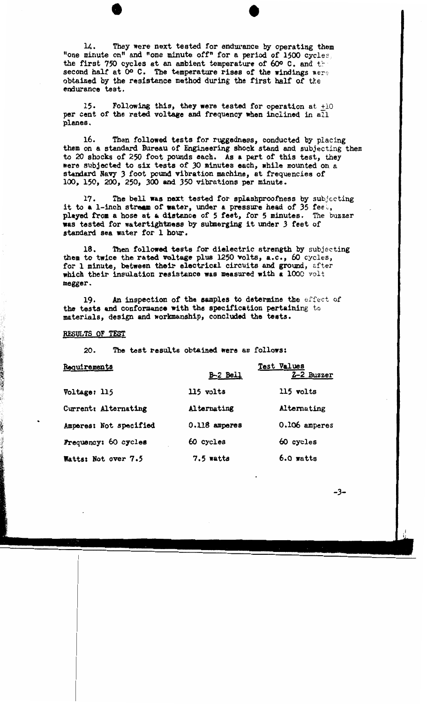14. They were next tested for endurance by operating them "one minute on" and "one minute off" for a period of 1500 cycles. the first 750 cycles at an ambient temperature of 60 $\degree$  C. and the second half at O<sup>o</sup> C. The temperature rises of the windings were obtained by the resistance method during the first half of the endurance test.

15. Following this, they **were** tested for operation at +10 per cent of the rated voltage and frequency when inclined in all planes.

16. Then followed tests for ruggedness, conducted by placing them on a standard Bureau of Engineering shock stand and subjecting them to 20 shocks of 250 foot pounds each. As a part of this test, they were subjected to six tests of JO minutes each, while mounted on a standard Navy J foot pound vibration machine, at frequencies of 100, 150, 200, 250, 300 and 350 vibrations per minute.

17. The bell was next tested for splashproofness by subjecting it to a 1-inch stream of water, under a pressure head of 35 fee., played from a hose at a distance of 5 feet, for 5 minutes. The buzzer was tested for watertightness by submerging it under J feet of standard sea water for 1 hour.

18. Then followed tests for dielectric strength by subjecting them to **twice** the **rated voltage** plus 1250 volts, **a.c.,** 60 cycles, for 1 minute, **between their** electrical circuits and ground, after which their insulation **resistance was measured with a** 1000 volt megger.

19. An inspection of **the samples** to determine the effect of the tests and conformance with the specification pertaining to materials, design and workmanship, concluded the tests.

#### RFSULTS OF TEST

~;

20. The test results obtained **were** as follows:

| <u>Requirements</u>    | Test Values     |               |  |  |
|------------------------|-----------------|---------------|--|--|
|                        | <b>B-2 Bell</b> | 2-2 Buzzer    |  |  |
| Voltage: 115           | $115$ volts     | 115 volts     |  |  |
| Current: Alternating   | Alternating     | Alternating   |  |  |
| Amperes: Not specified | 0.118 amperes   | 0.106 amperes |  |  |
| Frequency: 60 cycles   | 60 cycles       | 60 cycles     |  |  |
| Watts: Not over 7.5    | $7.5$ watts     | $6.0$ watts   |  |  |

-3-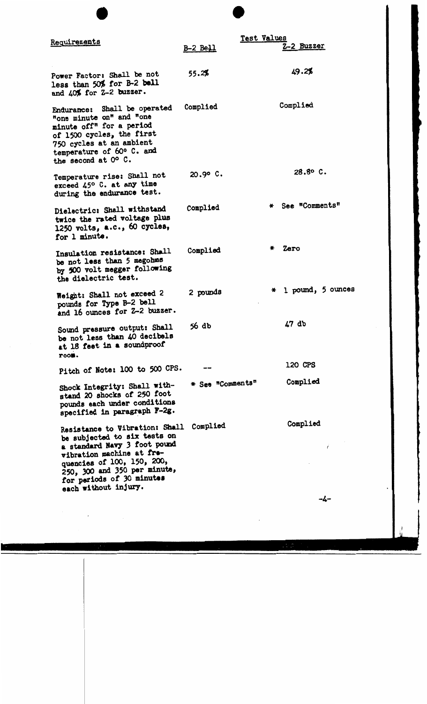| Requirements                                                                                                                                                                                                                                   | <b>B-2 Bell</b>  | Test Values | 2-2 Buzzer            |
|------------------------------------------------------------------------------------------------------------------------------------------------------------------------------------------------------------------------------------------------|------------------|-------------|-----------------------|
| Power Factor: Shall be not<br>less than 50% for B-2 bell<br>and 40% for Z-2 buzzer.                                                                                                                                                            | 55.2%            |             | 49.2%                 |
| Endurance: Shall be operated<br>"one minute on" and "one<br>minute off" for a period<br>of 1500 cycles, the first<br>750 cycles at an ambient<br>temperature of 60° C. and<br>the second at O° C.                                              | Complied         |             | Complied              |
| Temperature rise: Shall not<br>exceed 45° C. at any time<br>during the endurance test.                                                                                                                                                         | $20.90C$ .       |             | 28.8° C.              |
| Dielectric: Shall withstand<br>twice the rated voltage plus<br>1250 volts, a.c., 60 cycles,<br>for 1 minute.                                                                                                                                   | Complied         |             | * See "Comments"      |
| Insulation resistance: Shall<br>be not less than 5 megohms<br>by 500 volt megger following<br>the dielectric test.                                                                                                                             | Complied         |             | $*$ Zero              |
| Weight: Shall not exceed 2<br>pounds for Type B-2 bell<br>and 16 ounces for Z-2 buzzer.                                                                                                                                                        | 2 pounds         |             | $*$ 1 pound, 5 ounces |
| Sound pressure output: Shall<br>be not less than 40 decibels<br>at 18 feet in a soundproof<br>room.                                                                                                                                            | 56 db            |             | 47 db                 |
| Pitch of Note: 100 to 500 CPS.                                                                                                                                                                                                                 |                  |             | 120 CPS               |
| Shock Integrity: Shall with-<br>stand 20 shocks of 250 foot<br>pounds each under conditions<br>specified in paragraph F-2g.                                                                                                                    | * See "Comments" |             | Complied              |
| Resistance to Vibration: Shall<br>be subjected to six tests on<br>a standard Navy 3 foot pound<br>vibration machine at fre-<br>quencies of 100, 150, 200,<br>250, 300 and 350 per minute,<br>for periods of 30 minutes<br>each without injury. | Complied         |             | Complied              |

 $\mathcal{F}^{\text{max}}_{\text{max}}$ 

-4-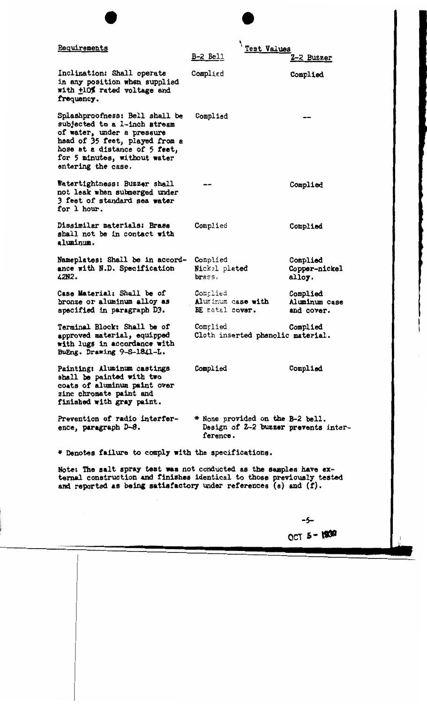| Requirements                                                                                                                                                                                                          | Test Values<br>$B-2$ Bell                                                            | 2-2 Buzzer                              |
|-----------------------------------------------------------------------------------------------------------------------------------------------------------------------------------------------------------------------|--------------------------------------------------------------------------------------|-----------------------------------------|
| Inclination: Shall operate<br>in any position when supplied<br>with +10% rated voltage and<br>frequency.                                                                                                              | Complied                                                                             | Complied                                |
| Splashproofness: Bell shall be<br>subjected to a 1-inch stream<br>of water, under a pressure<br>head of 35 feet, played from a<br>hose at a distance of 5 feet,<br>for 5 minutes, without water<br>entering the case. | Complied                                                                             |                                         |
| Watertightness: Buzzer shall<br>not leak when submerged under<br>3 feet of standard sea water<br>for 1 hour.                                                                                                          |                                                                                      | Complied                                |
| Dissimilar materials: Brass<br>shall not be in contact with<br>aluminum.                                                                                                                                              | Complied                                                                             | Complied                                |
| Nameplates: Shall be in accord-<br>ance with N.D. Specification<br>42N2.                                                                                                                                              | Complied<br>Nickel plated<br>brass.                                                  | Complied<br>Copper-nickel<br>alloy.     |
| Case Material: Shall be of<br>bronze or aluminum alloy as<br>specified in paragraph D3.                                                                                                                               | Complied<br>Aluminum case with<br>BE metal cover.                                    | Complied<br>Aluminum case<br>and cover. |
| Terminal Block: Shall be of<br>approved material, equipped<br>with lugs in accordance with<br>BuEng. Drawing 9-S-1841-L.                                                                                              | Complied<br>Cloth inserted phenolic material.                                        | Complied                                |
| Painting: Aluminum castings<br>shall be painted with two<br>coats of aluminum paint over<br>zinc chromate paint and<br>finished with gray paint.                                                                      | Complied                                                                             | Complied                                |
| Prevention of radio interfer-<br>ence, paragraph D-8.                                                                                                                                                                 | * None provided on the B-2 bell.<br>Design of 2-2 buzzer prevents inter-<br>ference. |                                         |
| * Denotes failure to comply with the specifications.                                                                                                                                                                  |                                                                                      |                                         |
| Note: The salt spray test was not conducted as the samples have ex-<br>ternal construction and finishes identical to those previously tested                                                                          |                                                                                      |                                         |

ternal construction and finishes identical to those previously tested and reported as being satisfactory under references  $(e)$  and  $(f)$ .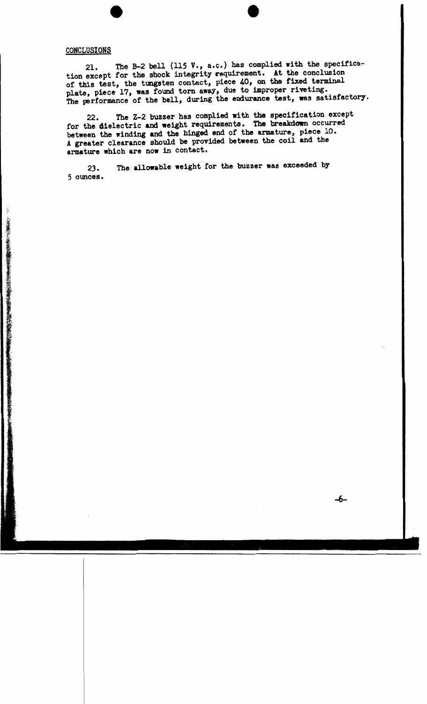#### **CONCLUSIONS**

21. The B-2 bell (115 v., a.c.) bas complied with the specification except for the shock integrity requirement. At the conclusion of this test, the tungsten contact, piece 40, on the fixed terminal plate, piece 17, **was** found torn away, due to improper riveting. The performance of the bell, during the endurance test, was satisfactory.

22. The Z-2 buzzer has complied with the specification except for the dielectric and weight requirements. The breakdown occurred between the winding and the hinged end of the armature, piece 10. A greater clearance should be provided between the coil and the armature which are now in contact.

23. The allowable weight for the buzzer was exceeded by 5 ounces.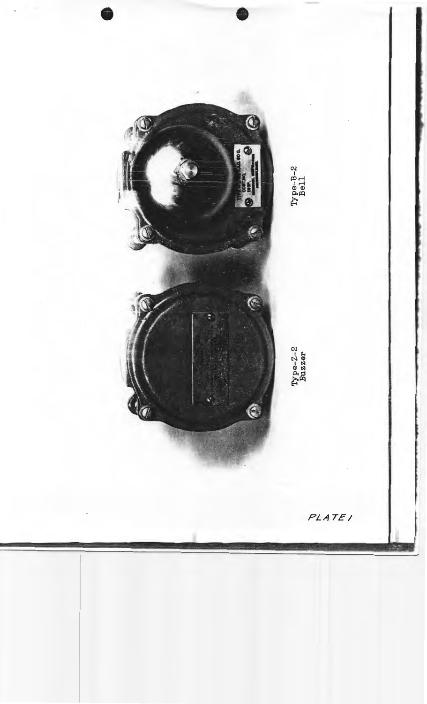